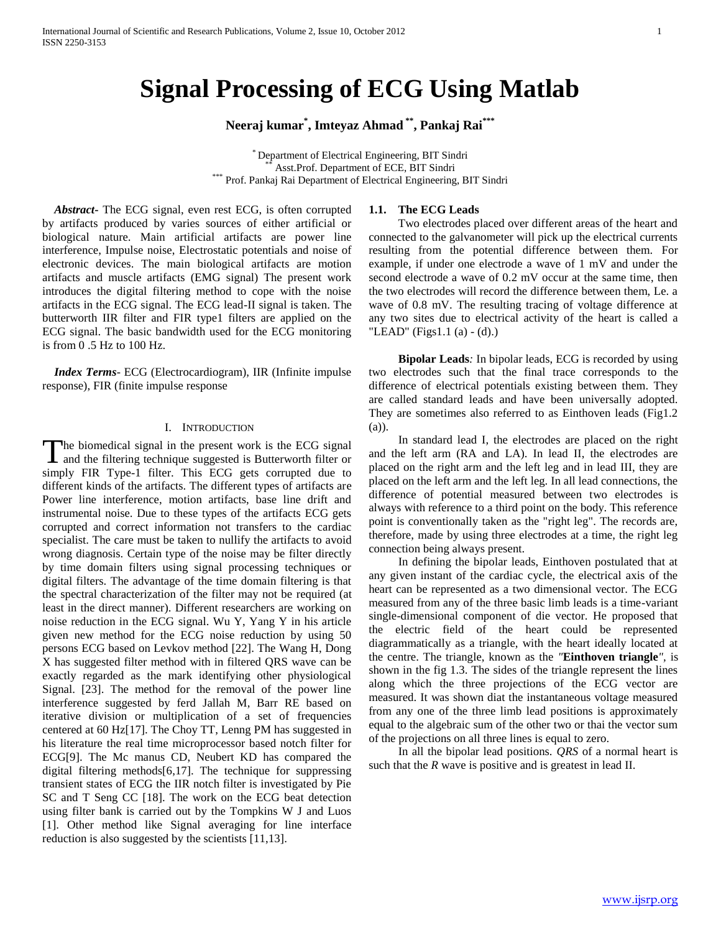# **Signal Processing of ECG Using Matlab**

**Neeraj kumar\* , Imteyaz Ahmad \*\* , Pankaj Rai\*\*\***

\* Department of Electrical Engineering, BIT Sindri Asst.Prof. Department of ECE, BIT Sindri \*\*\* Prof. Pankaj Rai Department of Electrical Engineering, BIT Sindri

 *Abstract***-** The ECG signal, even rest ECG, is often corrupted by artifacts produced by varies sources of either artificial or biological nature. Main artificial artifacts are power line interference, Impulse noise, Electrostatic potentials and noise of electronic devices. The main biological artifacts are motion artifacts and muscle artifacts (EMG signal) The present work introduces the digital filtering method to cope with the noise artifacts in the ECG signal. The ECG lead-II signal is taken. The butterworth IIR filter and FIR type1 filters are applied on the ECG signal. The basic bandwidth used for the ECG monitoring is from 0 .5 Hz to 100 Hz.

 *Index Terms*- ECG (Electrocardiogram), IIR (Infinite impulse response), FIR (finite impulse response

### I. INTRODUCTION

he biomedical signal in the present work is the ECG signal The biomedical signal in the present work is the ECG signal<br>and the filtering technique suggested is Butterworth filter or simply FIR Type-1 filter. This ECG gets corrupted due to different kinds of the artifacts. The different types of artifacts are Power line interference, motion artifacts, base line drift and instrumental noise. Due to these types of the artifacts ECG gets corrupted and correct information not transfers to the cardiac specialist. The care must be taken to nullify the artifacts to avoid wrong diagnosis. Certain type of the noise may be filter directly by time domain filters using signal processing techniques or digital filters. The advantage of the time domain filtering is that the spectral characterization of the filter may not be required (at least in the direct manner). Different researchers are working on noise reduction in the ECG signal. Wu Y, Yang Y in his article given new method for the ECG noise reduction by using 50 persons ECG based on Levkov method [22]. The Wang H, Dong X has suggested filter method with in filtered QRS wave can be exactly regarded as the mark identifying other physiological Signal. [23]. The method for the removal of the power line interference suggested by ferd Jallah M, Barr RE based on iterative division or multiplication of a set of frequencies centered at 60 Hz[17]. The Choy TT, Lenng PM has suggested in his literature the real time microprocessor based notch filter for ECG[9]. The Mc manus CD, Neubert KD has compared the digital filtering methods[6,17]. The technique for suppressing transient states of ECG the IIR notch filter is investigated by Pie SC and T Seng CC [18]. The work on the ECG beat detection using filter bank is carried out by the Tompkins W J and Luos [1]. Other method like Signal averaging for line interface reduction is also suggested by the scientists [11,13].

#### **1.1. The ECG Leads**

 Two electrodes placed over different areas of the heart and connected to the galvanometer will pick up the electrical currents resulting from the potential difference between them. For example, if under one electrode a wave of 1 mV and under the second electrode a wave of 0.2 mV occur at the same time, then the two electrodes will record the difference between them, Le. a wave of 0.8 mV. The resulting tracing of voltage difference at any two sites due to electrical activity of the heart is called a "LEAD" (Figs1.1 (a) - (d).)

 **Bipolar Leads***:* In bipolar leads, ECG is recorded by using two electrodes such that the final trace corresponds to the difference of electrical potentials existing between them. They are called standard leads and have been universally adopted. They are sometimes also referred to as Einthoven leads (Fig1.2 (a)).

 In standard lead I, the electrodes are placed on the right and the left arm (RA and LA). In lead II, the electrodes are placed on the right arm and the left leg and in lead III, they are placed on the left arm and the left leg. In all lead connections, the difference of potential measured between two electrodes is always with reference to a third point on the body. This reference point is conventionally taken as the "right leg". The records are, therefore, made by using three electrodes at a time, the right leg connection being always present.

 In defining the bipolar leads, Einthoven postulated that at any given instant of the cardiac cycle, the electrical axis of the heart can be represented as a two dimensional vector. The ECG measured from any of the three basic limb leads is a time-variant single-dimensional component of die vector. He proposed that the electric field of the heart could be represented diagrammatically as a triangle, with the heart ideally located at the centre. The triangle, known as the *"***Einthoven triangle***",* is shown in the fig 1.3. The sides of the triangle represent the lines along which the three projections of the ECG vector are measured. It was shown diat the instantaneous voltage measured from any one of the three limb lead positions is approximately equal to the algebraic sum of the other two or thai the vector sum of the projections on all three lines is equal to zero.

 In all the bipolar lead positions. *QRS* of a normal heart is such that the *R* wave is positive and is greatest in lead II.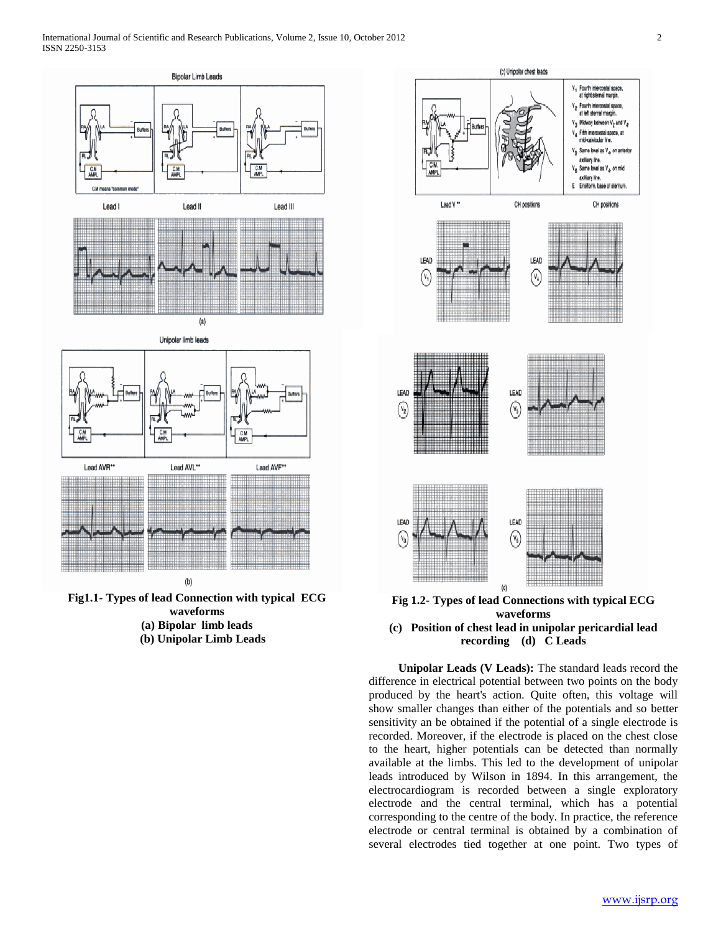

**Fig1.1- Types of lead Connection with typical ECG waveforms (a) Bipolar limb leads (b) Unipolar Limb Leads**



**(c) Position of chest lead in unipolar pericardial lead recording (d) C Leads**

 **Unipolar Leads (V Leads):** The standard leads record the difference in electrical potential between two points on the body produced by the heart's action. Quite often, this voltage will show smaller changes than either of the potentials and so better sensitivity an be obtained if the potential of a single electrode is recorded. Moreover, if the electrode is placed on the chest close to the heart, higher potentials can be detected than normally available at the limbs. This led to the development of unipolar leads introduced by Wilson in 1894. In this arrangement, the electrocardiogram is recorded between a single exploratory electrode and the central terminal, which has a potential corresponding to the centre of the body. In practice, the reference electrode or central terminal is obtained by a combination of several electrodes tied together at one point. Two types of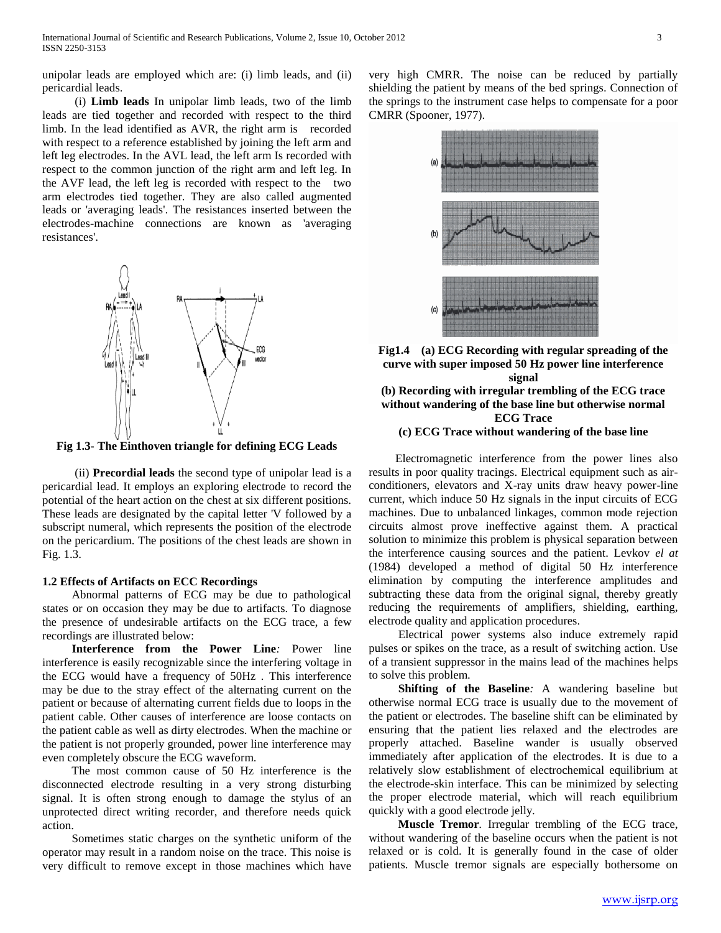unipolar leads are employed which are: (i) limb leads, and (ii) pericardial leads.

 (i) **Limb leads** In unipolar limb leads, two of the limb leads are tied together and recorded with respect to the third limb. In the lead identified as AVR, the right arm is recorded with respect to a reference established by joining the left arm and left leg electrodes. In the AVL lead, the left arm Is recorded with respect to the common junction of the right arm and left leg. In the AVF lead, the left leg is recorded with respect to the two arm electrodes tied together. They are also called augmented leads or 'averaging leads'. The resistances inserted between the electrodes-machine connections are known as 'averaging resistances'.



**Fig 1.3- The Einthoven triangle for defining ECG Leads**

 (ii) **Precordial leads** the second type of unipolar lead is a pericardial lead. It employs an exploring electrode to record the potential of the heart action on the chest at six different positions. These leads are designated by the capital letter 'V followed by a subscript numeral, which represents the position of the electrode on the pericardium. The positions of the chest leads are shown in Fig. 1.3.

# **1.2 Effects of Artifacts on ECC Recordings**

 Abnormal patterns of ECG may be due to pathological states or on occasion they may be due to artifacts. To diagnose the presence of undesirable artifacts on the ECG trace, a few recordings are illustrated below:

 **Interference from the Power Line***:* Power line interference is easily recognizable since the interfering voltage in the ECG would have a frequency of 50Hz . This interference may be due to the stray effect of the alternating current on the patient or because of alternating current fields due to loops in the patient cable. Other causes of interference are loose contacts on the patient cable as well as dirty electrodes. When the machine or the patient is not properly grounded, power line interference may even completely obscure the ECG waveform.

 The most common cause of 50 Hz interference is the disconnected electrode resulting in a very strong disturbing signal. It is often strong enough to damage the stylus of an unprotected direct writing recorder, and therefore needs quick action.

 Sometimes static charges on the synthetic uniform of the operator may result in a random noise on the trace. This noise is very difficult to remove except in those machines which have

very high CMRR. The noise can be reduced by partially shielding the patient by means of the bed springs. Connection of the springs to the instrument case helps to compensate for a poor CMRR (Spooner, 1977).





 Electromagnetic interference from the power lines also results in poor quality tracings. Electrical equipment such as airconditioners, elevators and X-ray units draw heavy power-line current, which induce 50 Hz signals in the input circuits of ECG machines. Due to unbalanced linkages, common mode rejection circuits almost prove ineffective against them. A practical solution to minimize this problem is physical separation between the interference causing sources and the patient. Levkov *el at*  (1984) developed a method of digital 50 Hz interference elimination by computing the interference amplitudes and subtracting these data from the original signal, thereby greatly reducing the requirements of amplifiers, shielding, earthing, electrode quality and application procedures.

 Electrical power systems also induce extremely rapid pulses or spikes on the trace, as a result of switching action. Use of a transient suppressor in the mains lead of the machines helps to solve this problem.

 **Shifting of the Baseline***:* A wandering baseline but otherwise normal ECG trace is usually due to the movement of the patient or electrodes. The baseline shift can be eliminated by ensuring that the patient lies relaxed and the electrodes are properly attached. Baseline wander is usually observed immediately after application of the electrodes. It is due to a relatively slow establishment of electrochemical equilibrium at the electrode-skin interface. This can be minimized by selecting the proper electrode material, which will reach equilibrium quickly with a good electrode jelly.

 **Muscle Tremor***.* Irregular trembling of the ECG trace, without wandering of the baseline occurs when the patient is not relaxed or is cold. It is generally found in the case of older patients. Muscle tremor signals are especially bothersome on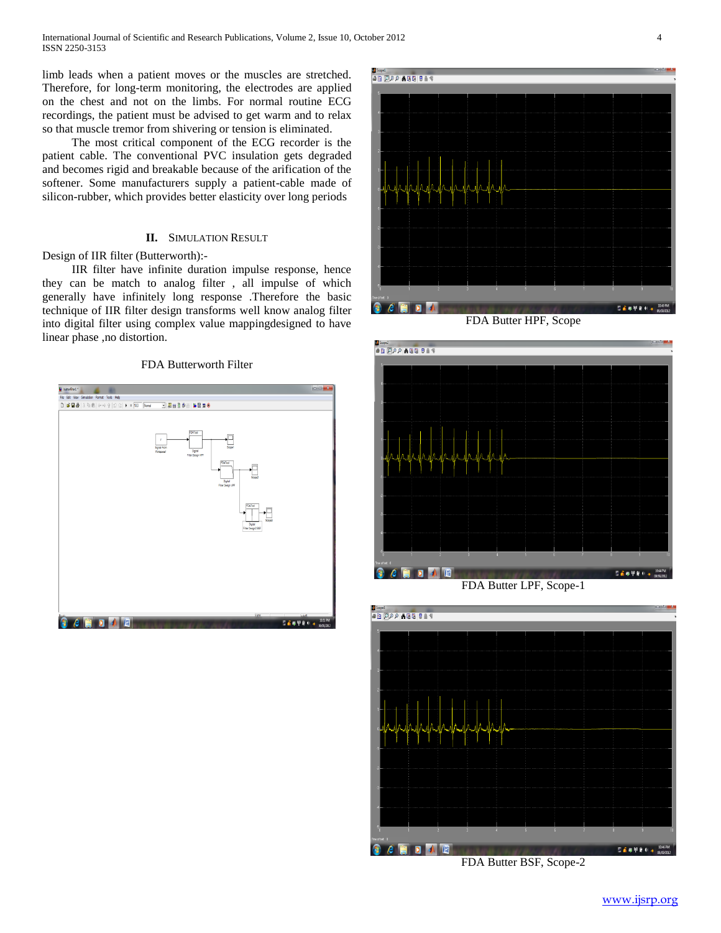limb leads when a patient moves or the muscles are stretched. Therefore, for long-term monitoring, the electrodes are applied on the chest and not on the limbs. For normal routine ECG recordings, the patient must be advised to get warm and to relax so that muscle tremor from shivering or tension is eliminated.

 The most critical component of the ECG recorder is the patient cable. The conventional PVC insulation gets degraded and becomes rigid and breakable because of the arification of the softener. Some manufacturers supply a patient-cable made of silicon-rubber, which provides better elasticity over long periods

# **II.** SIMULATION RESULT

Design of IIR filter (Butterworth):-

File Edit View Simulation Format Tools Help<br><mark>□ | 26 | ④</mark> | ぶ B: 他 |  $\Leftrightarrow$  介 | 으 으 | ▶ = <mark>000 | |Vormal</mark>

**A D A** 

 IIR filter have infinite duration impulse response, hence they can be match to analog filter , all impulse of which generally have infinitely long response .Therefore the basic technique of IIR filter design transforms well know analog filter into digital filter using complex value mappingdesigned to have linear phase ,no distortion.

## FDA Butterworth Filter

→ 原田20日 → 日田6

**Caeve**o



FDA Butter HPF, Scope



FDA Butter LPF, Scope-1



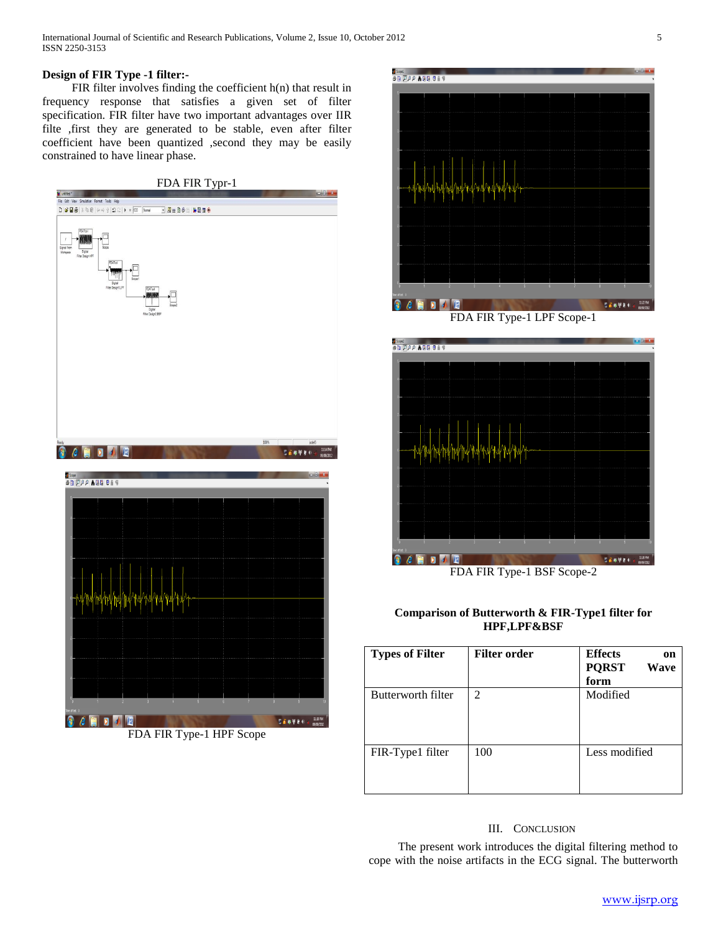International Journal of Scientific and Research Publications, Volume 2, Issue 10, October 2012 5 ISSN 2250-3153

### **Design of FIR Type -1 filter:-**

 FIR filter involves finding the coefficient h(n) that result in frequency response that satisfies a given set of filter specification. FIR filter have two important advantages over IIR filte ,first they are generated to be stable, even after filter coefficient have been quantized ,second they may be easily constrained to have linear phase.









**Comparison of Butterworth & FIR-Type1 filter for HPF,LPF&BSF**

| <b>Types of Filter</b> | <b>Filter order</b> | <b>Effects</b><br><sub>on</sub><br><b>PORST</b><br>Wave<br>form |
|------------------------|---------------------|-----------------------------------------------------------------|
| Butterworth filter     | $\overline{c}$      | Modified                                                        |
| FIR-Type1 filter       | 100                 | Less modified                                                   |

## III. CONCLUSION

 The present work introduces the digital filtering method to cope with the noise artifacts in the ECG signal. The butterworth